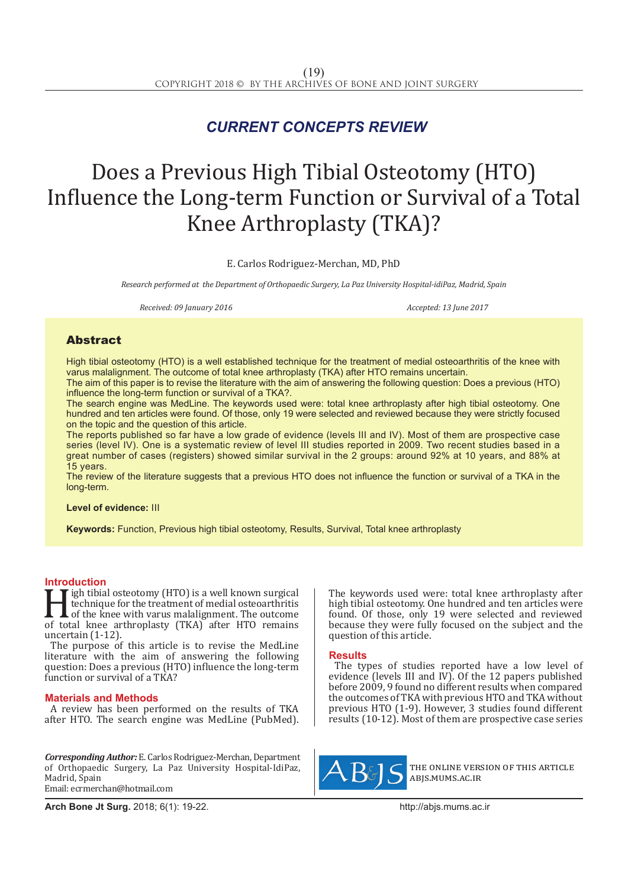## *CURRENT CONCEPTS REVIEW*

# Does a Previous High Tibial Osteotomy (HTO) Influence the Long-term Function or Survival of a Total Knee Arthroplasty (TKA)?

E. Carlos Rodriguez-Merchan, MD, PhD

*Research performed at the Department of Orthopaedic Surgery, La Paz University Hospital-idiPaz, Madrid, Spain*

*Received: 09 January 2016 Accepted: 13 June 2017*

### Abstract

High tibial osteotomy (HTO) is a well established technique for the treatment of medial osteoarthritis of the knee with varus malalignment. The outcome of total knee arthroplasty (TKA) after HTO remains uncertain.

The aim of this paper is to revise the literature with the aim of answering the following question: Does a previous (HTO) influence the long-term function or survival of a TKA?.

The search engine was MedLine. The keywords used were: total knee arthroplasty after high tibial osteotomy. One hundred and ten articles were found. Of those, only 19 were selected and reviewed because they were strictly focused on the topic and the question of this article.

The reports published so far have a low grade of evidence (levels III and IV). Most of them are prospective case series (level IV). One is a systematic review of level III studies reported in 2009. Two recent studies based in a great number of cases (registers) showed similar survival in the 2 groups: around 92% at 10 years, and 88% at 15 years.

The review of the literature suggests that a previous HTO does not influence the function or survival of a TKA in the long-term.

**Level of evidence:** III

**Keywords:** Function, Previous high tibial osteotomy, Results, Survival, Total knee arthroplasty

**Introduction**<br>**T** igh tibial osteotomy (HTO) is a well known surgical **Hendal osteotomy (HTO) is a well known surgical technique for the treatment of medial osteoarthritis** of the knee with varus malalignment. The outcome of total knee arthroplasty (TKA) after HTO remains uncertain  $(1-12)$ technique for the treatment of medial osteoarthritis of the knee with varus malalignment. The outcome uncertain (1-12).

The purpose of this article is to revise the MedLine literature with the aim of answering the following question: Does a previous (HTO) influence the long-term function or survival of a TKA?

#### **Materials and Methods**

A review has been performed on the results of TKA after HTO. The search engine was MedLine (PubMed).

*Corresponding Author:* E. Carlos Rodriguez-Merchan, Department of Orthopaedic Surgery, La Paz University Hospital-IdiPaz, Madrid, Spain Email: ecrmerchan@hotmail.com

The keywords used were: total knee arthroplasty after high tibial osteotomy. One hundred and ten articles were found. Of those, only 19 were selected and reviewed because they were fully focused on the subject and the question of this article.

#### **Results**

The types of studies reported have a low level of evidence (levels III and IV). Of the 12 papers published before 2009, 9 found no different results when compared the outcomes of TKA with previous HTO and TKA without previous HTO (1-9). However, 3 studies found different results (10-12). Most of them are prospective case series



the online version of this article abjs.mums.ac.ir

**Arch Bone Jt Surg.** 2018; 6(1): 19-22.http://abjs.mums.ac.ir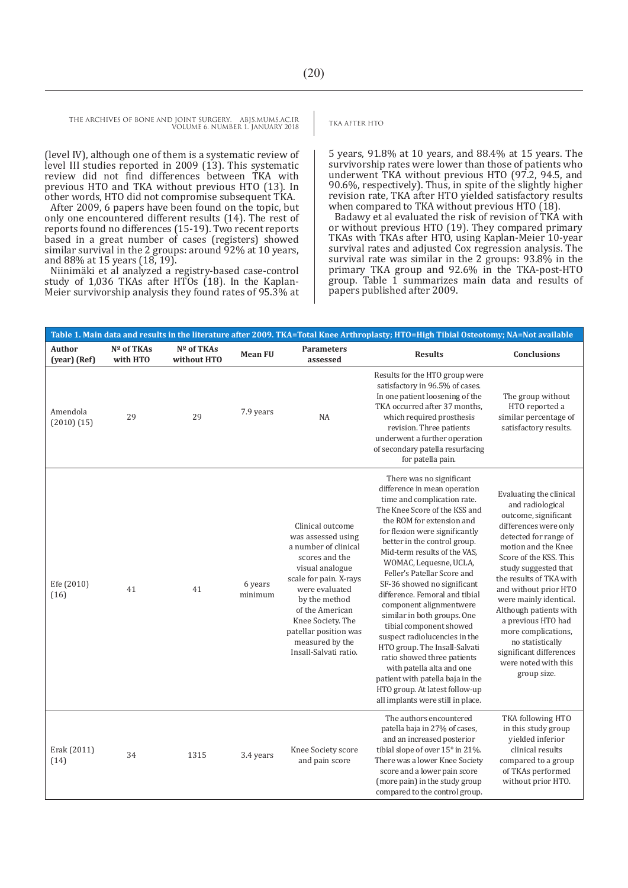THE ARCHIVES OF BONE AND JOINT SURGERY. ABJS.MUMS.AC.IR TKA AFTER HTO VOLUME 6. NUMBER 1. JANUARY 2018

(level IV), although one of them is a systematic review of level III studies reported in 2009 (13). This systematic review did not find differences between TKA with previous HTO and TKA without previous HTO (13). In other words, HTO did not compromise subsequent TKA.

After 2009, 6 papers have been found on the topic, but only one encountered different results (14). The rest of reports found no differences (15-19). Two recent reports based in a great number of cases (registers) showed similar survival in the 2 groups: around  $\frac{92}{%}$  at 10 years, and 88% at 15 years (18, 19).

Niinimäki et al analyzed a registry-based case-control study of 1,036 TKAs after HTOs (18). In the Kaplan-Meier survivorship analysis they found rates of 95.3% at

5 years, 91.8% at 10 years, and 88.4% at 15 years. The survivorship rates were lower than those of patients who underwent TKA without previous HTO (97.2, 94.5, and 90.6%, respectively). Thus, in spite of the slightly higher revision rate, TKA after HTO yielded satisfactory results when compared to TKA without previous HTO (18).

Badawy et al evaluated the risk of revision of TKA with or without previous HTO (19). They compared primary TKAs with TKAs after HTO, using Kaplan-Meier 10-year survival rates and adjusted Cox regression analysis. The survival rate was similar in the 2 groups: 93.8% in the primary TKA group and 92.6% in the TKA-post-HTO group. Table 1 summarizes main data and results of papers published after 2009.

| Table 1. Main data and results in the literature after 2009. TKA=Total Knee Arthroplasty; HTO=High Tibial Osteotomy; NA=Not available |                        |                           |                    |                                                                                                                                                                                                                                                                               |                                                                                                                                                                                                                                                                                                                                                                                                                                                                                                                                                                                                                                                                                                                 |                                                                                                                                                                                                                                                                                                                                                                                                                                           |  |  |  |
|---------------------------------------------------------------------------------------------------------------------------------------|------------------------|---------------------------|--------------------|-------------------------------------------------------------------------------------------------------------------------------------------------------------------------------------------------------------------------------------------------------------------------------|-----------------------------------------------------------------------------------------------------------------------------------------------------------------------------------------------------------------------------------------------------------------------------------------------------------------------------------------------------------------------------------------------------------------------------------------------------------------------------------------------------------------------------------------------------------------------------------------------------------------------------------------------------------------------------------------------------------------|-------------------------------------------------------------------------------------------------------------------------------------------------------------------------------------------------------------------------------------------------------------------------------------------------------------------------------------------------------------------------------------------------------------------------------------------|--|--|--|
| Author<br>(year) (Ref)                                                                                                                | Nº of TKAs<br>with HTO | Nº of TKAs<br>without HTO | <b>Mean FU</b>     | <b>Parameters</b><br>assessed                                                                                                                                                                                                                                                 | <b>Results</b>                                                                                                                                                                                                                                                                                                                                                                                                                                                                                                                                                                                                                                                                                                  | <b>Conclusions</b>                                                                                                                                                                                                                                                                                                                                                                                                                        |  |  |  |
| Amendola<br>(2010)(15)                                                                                                                | 29                     | 29                        | 7.9 years          | <b>NA</b>                                                                                                                                                                                                                                                                     | Results for the HTO group were<br>satisfactory in 96.5% of cases.<br>In one patient loosening of the<br>TKA occurred after 37 months,<br>which required prosthesis<br>revision. Three patients<br>underwent a further operation<br>of secondary patella resurfacing<br>for patella pain.                                                                                                                                                                                                                                                                                                                                                                                                                        | The group without<br>HTO reported a<br>similar percentage of<br>satisfactory results.                                                                                                                                                                                                                                                                                                                                                     |  |  |  |
| Efe (2010)<br>(16)                                                                                                                    | 41                     | 41                        | 6 years<br>minimum | Clinical outcome<br>was assessed using<br>a number of clinical<br>scores and the<br>visual analogue<br>scale for pain. X-rays<br>were evaluated<br>by the method<br>of the American<br>Knee Society. The<br>patellar position was<br>measured by the<br>Insall-Salvati ratio. | There was no significant<br>difference in mean operation<br>time and complication rate.<br>The Knee Score of the KSS and<br>the ROM for extension and<br>for flexion were significantly<br>better in the control group.<br>Mid-term results of the VAS.<br>WOMAC, Lequesne, UCLA,<br>Feller's Patellar Score and<br>SF-36 showed no significant<br>difference. Femoral and tibial<br>component alignmentwere<br>similar in both groups. One<br>tibial component showed<br>suspect radiolucencies in the<br>HTO group. The Insall-Salvati<br>ratio showed three patients<br>with patella alta and one<br>patient with patella baja in the<br>HTO group. At latest follow-up<br>all implants were still in place. | Evaluating the clinical<br>and radiological<br>outcome, significant<br>differences were only<br>detected for range of<br>motion and the Knee<br>Score of the KSS. This<br>study suggested that<br>the results of TKA with<br>and without prior HTO<br>were mainly identical.<br>Although patients with<br>a previous HTO had<br>more complications,<br>no statistically<br>significant differences<br>were noted with this<br>group size. |  |  |  |
| Erak (2011)<br>(14)                                                                                                                   | 34                     | 1315                      | 3.4 years          | Knee Society score<br>and pain score                                                                                                                                                                                                                                          | The authors encountered<br>patella baja in 27% of cases,<br>and an increased posterior<br>tibial slope of over 15° in 21%.<br>There was a lower Knee Society<br>score and a lower pain score<br>(more pain) in the study group<br>compared to the control group.                                                                                                                                                                                                                                                                                                                                                                                                                                                | TKA following HTO<br>in this study group<br>yielded inferior<br>clinical results<br>compared to a group<br>of TKAs performed<br>without prior HTO.                                                                                                                                                                                                                                                                                        |  |  |  |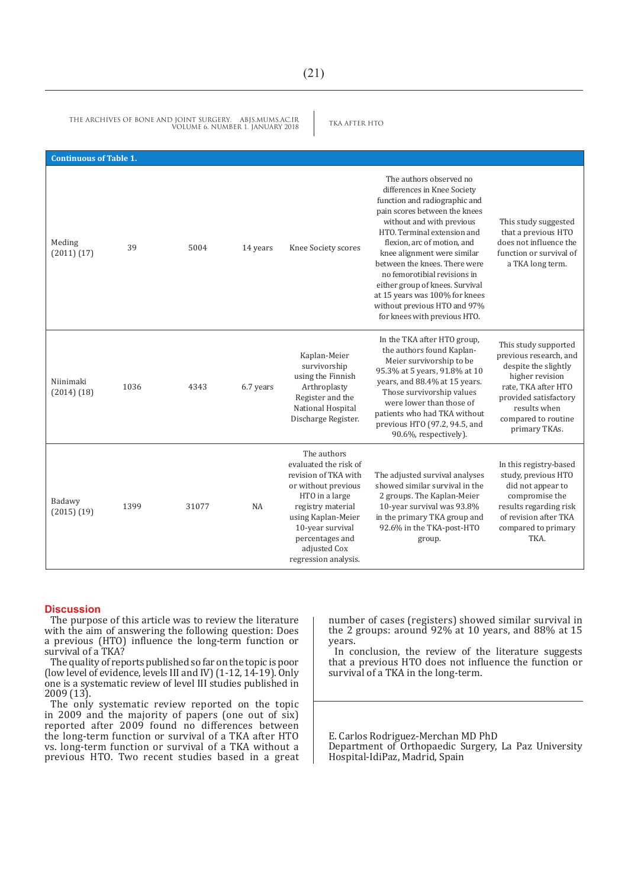THE ARCHIVES OF BONE AND JOINT SURGERY. ABJS.MUMS.AC.IR TKA AFTER HTO VOLUME 6. NUMBER 1. JANUARY 2018

| <b>Continuous of Table 1.</b> |      |       |           |                                                                                                                                                                                                                                 |                                                                                                                                                                                                                                                                                                                                                                                                                                                          |                                                                                                                                                                                                   |  |  |  |  |
|-------------------------------|------|-------|-----------|---------------------------------------------------------------------------------------------------------------------------------------------------------------------------------------------------------------------------------|----------------------------------------------------------------------------------------------------------------------------------------------------------------------------------------------------------------------------------------------------------------------------------------------------------------------------------------------------------------------------------------------------------------------------------------------------------|---------------------------------------------------------------------------------------------------------------------------------------------------------------------------------------------------|--|--|--|--|
| Meding<br>(2011) (17)         | 39   | 5004  | 14 years  | Knee Society scores                                                                                                                                                                                                             | The authors observed no<br>differences in Knee Society<br>function and radiographic and<br>pain scores between the knees<br>without and with previous<br>HTO. Terminal extension and<br>flexion, arc of motion, and<br>knee alignment were similar<br>between the knees. There were<br>no femorotibial revisions in<br>either group of knees. Survival<br>at 15 years was 100% for knees<br>without previous HTO and 97%<br>for knees with previous HTO. | This study suggested<br>that a previous HTO<br>does not influence the<br>function or survival of<br>a TKA long term.                                                                              |  |  |  |  |
| Niinimaki<br>(2014) (18)      | 1036 | 4343  | 6.7 years | Kaplan-Meier<br>survivorship<br>using the Finnish<br>Arthroplasty<br>Register and the<br>National Hospital<br>Discharge Register.                                                                                               | In the TKA after HTO group,<br>the authors found Kaplan-<br>Meier survivorship to be<br>95.3% at 5 years, 91.8% at 10<br>years, and 88.4% at 15 years.<br>Those survivorship values<br>were lower than those of<br>patients who had TKA without<br>previous HTO (97.2, 94.5, and<br>90.6%, respectively).                                                                                                                                                | This study supported<br>previous research, and<br>despite the slightly<br>higher revision<br>rate, TKA after HTO<br>provided satisfactory<br>results when<br>compared to routine<br>primary TKAs. |  |  |  |  |
| Badawy<br>$(2015)$ $(19)$     | 1399 | 31077 | <b>NA</b> | The authors<br>evaluated the risk of<br>revision of TKA with<br>or without previous<br>HTO in a large<br>registry material<br>using Kaplan-Meier<br>10-year survival<br>percentages and<br>adjusted Cox<br>regression analysis. | The adjusted survival analyses<br>showed similar survival in the<br>2 groups. The Kaplan-Meier<br>10-year survival was 93.8%<br>in the primary TKA group and<br>92.6% in the TKA-post-HTO<br>group.                                                                                                                                                                                                                                                      | In this registry-based<br>study, previous HTO<br>did not appear to<br>compromise the<br>results regarding risk<br>of revision after TKA<br>compared to primary<br>TKA.                            |  |  |  |  |

#### **Discussion**

The purpose of this article was to review the literature with the aim of answering the following question: Does a previous (HTO) influence the long-term function or survival of a TKA?

The quality of reports published so far on the topic is poor (low level of evidence, levels III and IV) (1-12, 14-19). Only one is a systematic review of level III studies published in 2009 (13).

The only systematic review reported on the topic in 2009 and the majority of papers (one out of six) reported after 2009 found no differences between the long-term function or survival of a TKA after HTO vs. long-term function or survival of a TKA without a previous HTO. Two recent studies based in a great number of cases (registers) showed similar survival in the 2 groups: around 92% at 10 years, and 88% at 15 years.

In conclusion, the review of the literature suggests that a previous HTO does not influence the function or survival of a TKA in the long-term.

E. Carlos Rodriguez-Merchan MD PhD Department of Orthopaedic Surgery, La Paz University Hospital-IdiPaz, Madrid, Spain